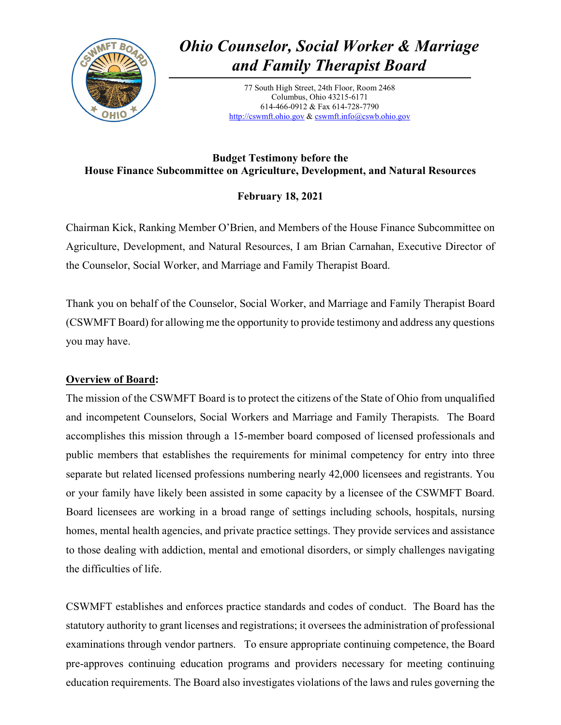

# *Ohio Counselor, Social Worker & Marriage and Family Therapist Board*

77 South High Street, 24th Floor, Room 2468 Columbus, Ohio 43215-6171 614-466-0912 & Fax 614-728-7790 [http://cswmft.ohio.gov](http://cswmft.ohio.gov/) & [cswmft.info@cswb.ohio.gov](mailto:cswmft.info@cswb.ohio.gov)

## **Budget Testimony before the House Finance Subcommittee on Agriculture, Development, and Natural Resources**

# **February 18, 2021**

Chairman Kick, Ranking Member O'Brien, and Members of the House Finance Subcommittee on Agriculture, Development, and Natural Resources, I am Brian Carnahan, Executive Director of the Counselor, Social Worker, and Marriage and Family Therapist Board.

Thank you on behalf of the Counselor, Social Worker, and Marriage and Family Therapist Board (CSWMFT Board) for allowing me the opportunity to provide testimony and address any questions you may have.

## **Overview of Board:**

The mission of the CSWMFT Board is to protect the citizens of the State of Ohio from unqualified and incompetent Counselors, Social Workers and Marriage and Family Therapists. The Board accomplishes this mission through a 15-member board composed of licensed professionals and public members that establishes the requirements for minimal competency for entry into three separate but related licensed professions numbering nearly 42,000 licensees and registrants. You or your family have likely been assisted in some capacity by a licensee of the CSWMFT Board. Board licensees are working in a broad range of settings including schools, hospitals, nursing homes, mental health agencies, and private practice settings. They provide services and assistance to those dealing with addiction, mental and emotional disorders, or simply challenges navigating the difficulties of life.

CSWMFT establishes and enforces practice standards and codes of conduct. The Board has the statutory authority to grant licenses and registrations; it oversees the administration of professional examinations through vendor partners. To ensure appropriate continuing competence, the Board pre-approves continuing education programs and providers necessary for meeting continuing education requirements. The Board also investigates violations of the laws and rules governing the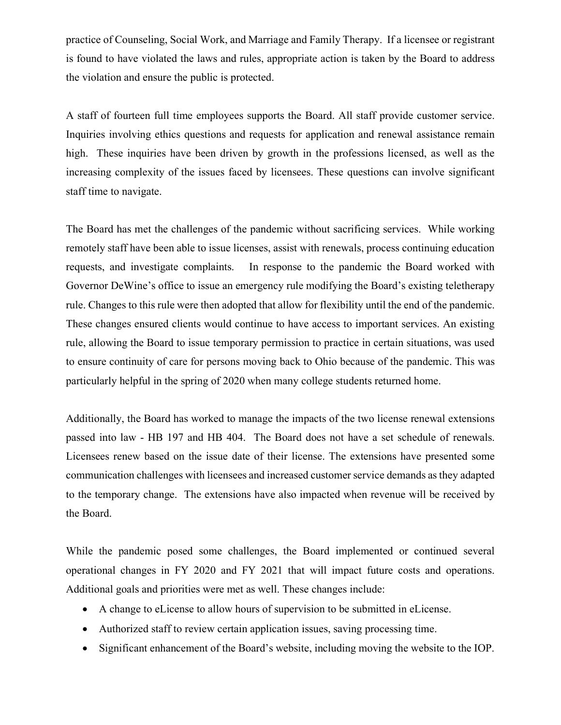practice of Counseling, Social Work, and Marriage and Family Therapy. If a licensee or registrant is found to have violated the laws and rules, appropriate action is taken by the Board to address the violation and ensure the public is protected.

A staff of fourteen full time employees supports the Board. All staff provide customer service. Inquiries involving ethics questions and requests for application and renewal assistance remain high. These inquiries have been driven by growth in the professions licensed, as well as the increasing complexity of the issues faced by licensees. These questions can involve significant staff time to navigate.

The Board has met the challenges of the pandemic without sacrificing services. While working remotely staff have been able to issue licenses, assist with renewals, process continuing education requests, and investigate complaints. In response to the pandemic the Board worked with Governor DeWine's office to issue an emergency rule modifying the Board's existing teletherapy rule. Changes to this rule were then adopted that allow for flexibility until the end of the pandemic. These changes ensured clients would continue to have access to important services. An existing rule, allowing the Board to issue temporary permission to practice in certain situations, was used to ensure continuity of care for persons moving back to Ohio because of the pandemic. This was particularly helpful in the spring of 2020 when many college students returned home.

Additionally, the Board has worked to manage the impacts of the two license renewal extensions passed into law - HB 197 and HB 404. The Board does not have a set schedule of renewals. Licensees renew based on the issue date of their license. The extensions have presented some communication challenges with licensees and increased customer service demands as they adapted to the temporary change. The extensions have also impacted when revenue will be received by the Board.

While the pandemic posed some challenges, the Board implemented or continued several operational changes in FY 2020 and FY 2021 that will impact future costs and operations. Additional goals and priorities were met as well. These changes include:

- A change to eLicense to allow hours of supervision to be submitted in eLicense.
- Authorized staff to review certain application issues, saving processing time.
- Significant enhancement of the Board's website, including moving the website to the IOP.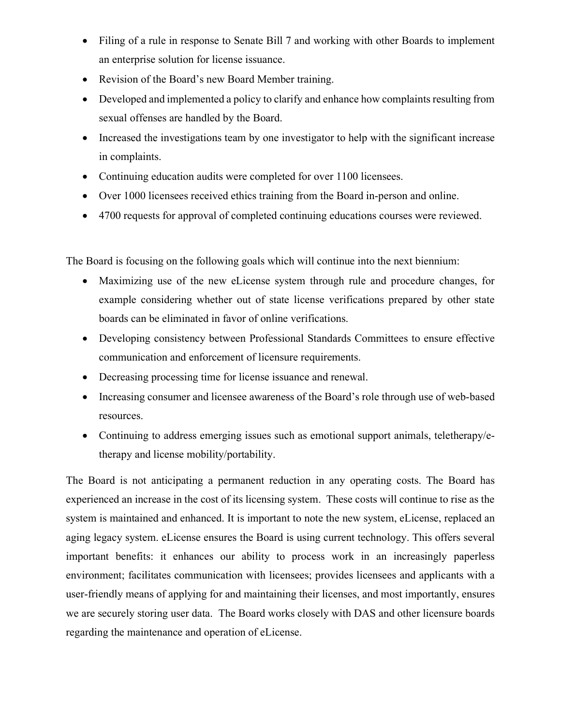- Filing of a rule in response to Senate Bill 7 and working with other Boards to implement an enterprise solution for license issuance.
- Revision of the Board's new Board Member training.
- Developed and implemented a policy to clarify and enhance how complaints resulting from sexual offenses are handled by the Board.
- Increased the investigations team by one investigator to help with the significant increase in complaints.
- Continuing education audits were completed for over 1100 licensees.
- Over 1000 licensees received ethics training from the Board in-person and online.
- 4700 requests for approval of completed continuing educations courses were reviewed.

The Board is focusing on the following goals which will continue into the next biennium:

- Maximizing use of the new eLicense system through rule and procedure changes, for example considering whether out of state license verifications prepared by other state boards can be eliminated in favor of online verifications.
- Developing consistency between Professional Standards Committees to ensure effective communication and enforcement of licensure requirements.
- Decreasing processing time for license issuance and renewal.
- Increasing consumer and licensee awareness of the Board's role through use of web-based resources.
- Continuing to address emerging issues such as emotional support animals, teletherapy/etherapy and license mobility/portability.

The Board is not anticipating a permanent reduction in any operating costs. The Board has experienced an increase in the cost of its licensing system. These costs will continue to rise as the system is maintained and enhanced. It is important to note the new system, eLicense, replaced an aging legacy system. eLicense ensures the Board is using current technology. This offers several important benefits: it enhances our ability to process work in an increasingly paperless environment; facilitates communication with licensees; provides licensees and applicants with a user-friendly means of applying for and maintaining their licenses, and most importantly, ensures we are securely storing user data. The Board works closely with DAS and other licensure boards regarding the maintenance and operation of eLicense.